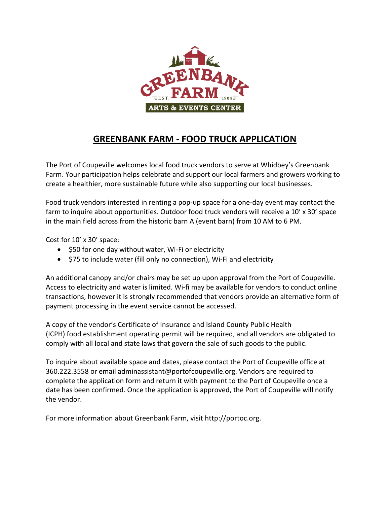

## **GREENBANK FARM - FOOD TRUCK APPLICATION**

The Port of Coupeville welcomes local food truck vendors to serve at Whidbey's Greenbank Farm. Your participation helps celebrate and support our local farmers and growers working to create a healthier, more sustainable future while also supporting our local businesses.

Food truck vendors interested in renting a pop-up space for a one-day event may contact the farm to inquire about opportunities. Outdoor food truck vendors will receive a 10' x 30' space in the main field across from the historic barn A (event barn) from 10 AM to 6 PM.

Cost for 10' x 30' space:

- \$50 for one day without water, Wi-Fi or electricity
- \$75 to include water (fill only no connection), Wi-Fi and electricity

An additional canopy and/or chairs may be set up upon approval from the Port of Coupeville. Access to electricity and water is limited. Wi-fi may be available for vendors to conduct online transactions, however it is strongly recommended that vendors provide an alternative form of payment processing in the event service cannot be accessed.

A copy of the vendor's Certificate of Insurance and Island County Public Health (ICPH) food establishment operating permit will be required, and all vendors are obligated to comply with all local and state laws that govern the sale of such goods to the public.

To inquire about available space and dates, please contact the Port of Coupeville office at 360.222.3558 or email adminassistant@portofcoupeville.org. Vendors are required to complete the application form and return it with payment to the Port of Coupeville once a date has been confirmed. Once the application is approved, the Port of Coupeville will notify the vendor.

For more information about Greenbank Farm, visit http://portoc.org.